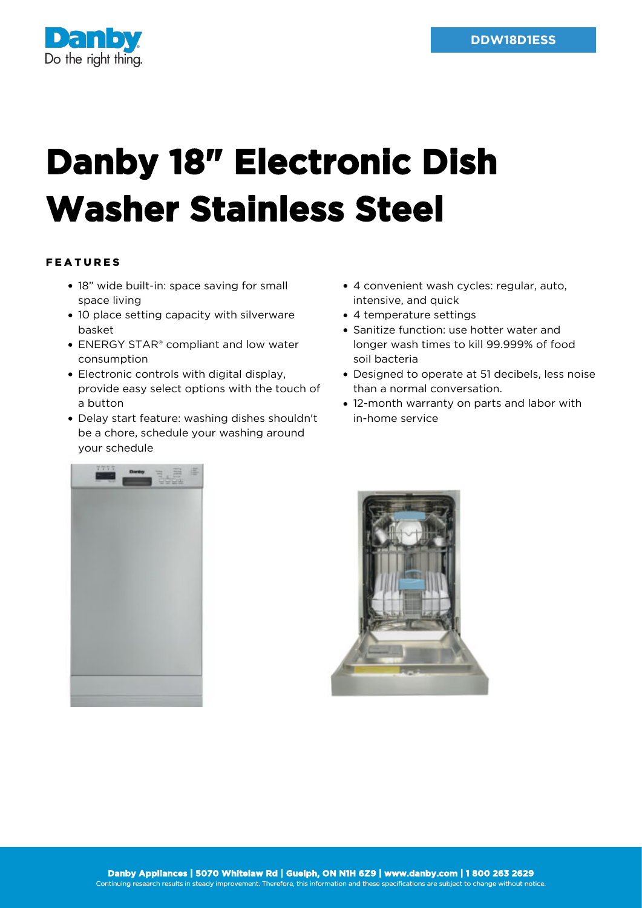

## **Danby 18" Electronic Dish Washer Stainless Steel**

## FEATURES

- 18" wide built-in: space saving for small space living
- 10 place setting capacity with silverware basket
- ENERGY STAR® compliant and low water consumption
- Electronic controls with digital display, provide easy select options with the touch of a button
- Delay start feature: washing dishes shouldn't be a chore, schedule your washing around your schedule
- 4 convenient wash cycles: regular, auto, intensive, and quick
- 4 temperature settings
- Sanitize function: use hotter water and longer wash times to kill 99.999% of food soil bacteria
- Designed to operate at 51 decibels, less noise than a normal conversation.
- 12-month warranty on parts and labor with in-home service